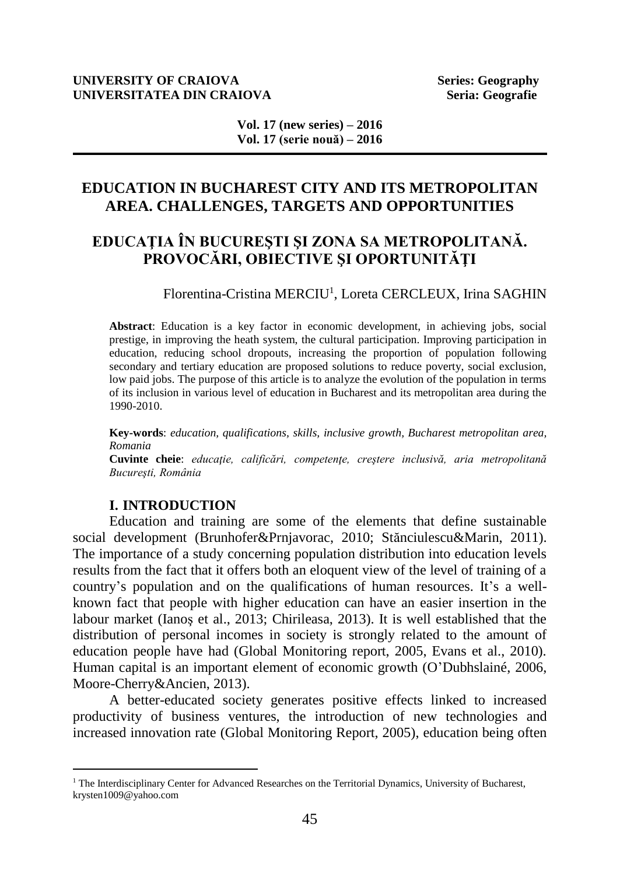## **UNIVERSITY OF CRAIOVA Series: Geography UNIVERSITATEA DIN CRAIOVA Seria: Geografie Seria: Geografie**

**Vol. 17 (new series) – 2016 Vol. 17 (serie nouă) – 2016**

## **EDUCATION IN BUCHAREST CITY AND ITS METROPOLITAN AREA. CHALLENGES, TARGETS AND OPPORTUNITIES**

# **EDUCAŢIA ÎN BUCUREŞTI ŞI ZONA SA METROPOLITANĂ. PROVOCĂRI, OBIECTIVE ŞI OPORTUNITĂŢI**

Florentina-Cristina MERCIU<sup>1</sup>, Loreta CERCLEUX, Irina SAGHIN

**Abstract**: Education is a key factor in economic development, in achieving jobs, social prestige, in improving the heath system, the cultural participation. Improving participation in education, reducing school dropouts, increasing the proportion of population following secondary and tertiary education are proposed solutions to reduce poverty, social exclusion, low paid jobs. The purpose of this article is to analyze the evolution of the population in terms of its inclusion in various level of education in Bucharest and its metropolitan area during the 1990-2010.

**Key-words**: *education, qualifications, skills, inclusive growth, Bucharest metropolitan area, Romania*

**Cuvinte cheie**: *educaţie, calificări, competenţe, creştere inclusivă, aria metropolitană Bucureşti, România*

## **I. INTRODUCTION**

 $\overline{a}$ 

Education and training are some of the elements that define sustainable social development (Brunhofer&Prnjavorac, 2010; Stănciulescu&Marin, 2011). The importance of a study concerning population distribution into education levels results from the fact that it offers both an eloquent view of the level of training of a country's population and on the qualifications of human resources. It's a wellknown fact that people with higher education can have an easier insertion in the labour market (Ianoş et al., 2013; Chirileasa, 2013). It is well established that the distribution of personal incomes in society is strongly related to the amount of education people have had (Global Monitoring report, 2005, Evans et al., 2010). Human capital is an important element of economic growth (O'Dubhslainé, 2006, Moore-Cherry&Ancien, 2013).

A better-educated society generates positive effects linked to increased productivity of business ventures, the introduction of new technologies and increased innovation rate (Global Monitoring Report, 2005), education being often

<sup>&</sup>lt;sup>1</sup> The Interdisciplinary Center for Advanced Researches on the Territorial Dynamics, University of Bucharest, krysten1009@yahoo.com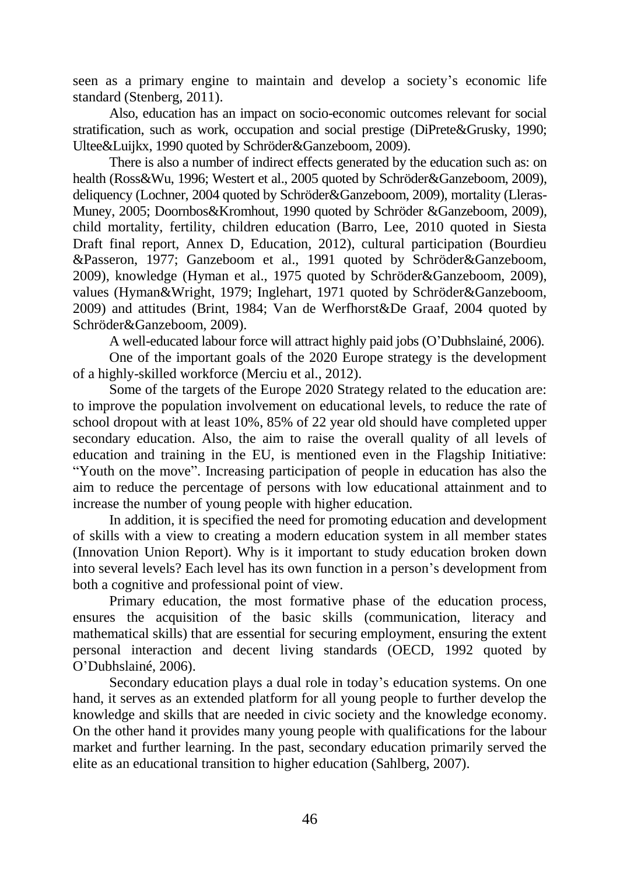seen as a primary engine to maintain and develop a society's economic life standard (Stenberg, 2011).

Also, education has an impact on socio-economic outcomes relevant for social stratification, such as work, occupation and social prestige (DiPrete&Grusky, 1990; Ultee&Luijkx, 1990 quoted by Schröder&Ganzeboom, 2009).

There is also a number of indirect effects generated by the education such as: on health (Ross&Wu, 1996; Westert et al., 2005 quoted by Schröder&Ganzeboom, 2009), deliquency (Lochner, 2004 quoted by Schröder&Ganzeboom, 2009), mortality (Lleras-Muney, 2005; Doornbos&Kromhout, 1990 quoted by Schröder &Ganzeboom, 2009), child mortality, fertility, children education (Barro, Lee, 2010 quoted in Siesta Draft final report, Annex D, Education, 2012), cultural participation (Bourdieu &Passeron, 1977; Ganzeboom et al., 1991 quoted by Schröder&Ganzeboom, 2009), knowledge (Hyman et al., 1975 quoted by Schröder&Ganzeboom, 2009), values (Hyman&Wright, 1979; Inglehart, 1971 quoted by Schröder&Ganzeboom, 2009) and attitudes (Brint, 1984; Van de Werfhorst&De Graaf, 2004 quoted by Schröder&Ganzeboom, 2009).

A well-educated labour force will attract highly paid jobs (O'Dubhslainé, 2006).

One of the important goals of the 2020 Europe strategy is the development of a highly-skilled workforce (Merciu et al., 2012).

Some of the targets of the Europe 2020 Strategy related to the education are: to improve the population involvement on educational levels, to reduce the rate of school dropout with at least 10%, 85% of 22 year old should have completed upper secondary education. Also, the aim to raise the overall quality of all levels of education and training in the EU, is mentioned even in the Flagship Initiative: "Youth on the move". Increasing participation of people in education has also the aim to reduce the percentage of persons with low educational attainment and to increase the number of young people with higher education.

In addition, it is specified the need for promoting education and development of skills with a view to creating a modern education system in all member states (Innovation Union Report). Why is it important to study education broken down into several levels? Each level has its own function in a person's development from both a cognitive and professional point of view.

Primary education, the most formative phase of the education process, ensures the acquisition of the basic skills (communication, literacy and mathematical skills) that are essential for securing employment, ensuring the extent personal interaction and decent living standards (OECD, 1992 quoted by O'Dubhslainé, 2006).

Secondary education plays a dual role in today's education systems. On one hand, it serves as an extended platform for all young people to further develop the knowledge and skills that are needed in civic society and the knowledge economy. On the other hand it provides many young people with qualifications for the labour market and further learning. In the past, secondary education primarily served the elite as an educational transition to higher education (Sahlberg, 2007).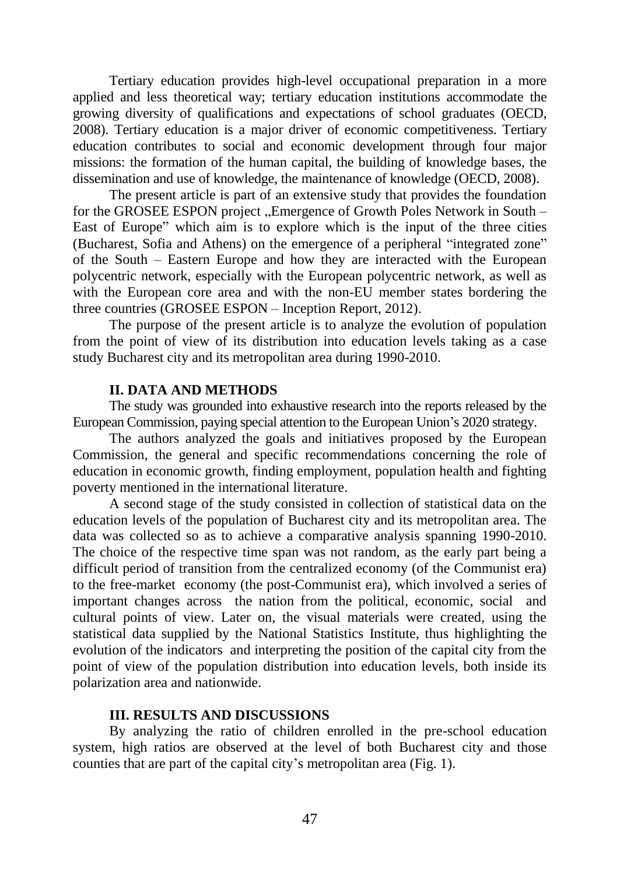Tertiary education provides high-level occupational preparation in a more applied and less theoretical way; tertiary education institutions accommodate the growing diversity of qualifications and expectations of school graduates (OECD, 2008). Tertiary education is a major driver of economic competitiveness. Tertiary education contributes to social and economic development through four major missions: the formation of the human capital, the building of knowledge bases, the dissemination and use of knowledge, the maintenance of knowledge (OECD, 2008).

The present article is part of an extensive study that provides the foundation for the GROSEE ESPON project "Emergence of Growth Poles Network in South – East of Europe" which aim is to explore which is the input of the three cities (Bucharest, Sofia and Athens) on the emergence of a peripheral "integrated zone" of the South – Eastern Europe and how they are interacted with the European polycentric network, especially with the European polycentric network, as well as with the European core area and with the non-EU member states bordering the three countries (GROSEE ESPON – Inception Report, 2012).

The purpose of the present article is to analyze the evolution of population from the point of view of its distribution into education levels taking as a case study Bucharest city and its metropolitan area during 1990-2010.

## **II. DATA AND METHODS**

The study was grounded into exhaustive research into the reports released by the European Commission, paying special attention to the European Union's 2020 strategy.

The authors analyzed the goals and initiatives proposed by the European Commission, the general and specific recommendations concerning the role of education in economic growth, finding employment, population health and fighting poverty mentioned in the international literature.

A second stage of the study consisted in collection of statistical data on the education levels of the population of Bucharest city and its metropolitan area. The data was collected so as to achieve a comparative analysis spanning 1990-2010. The choice of the respective time span was not random, as the early part being a difficult period of transition from the centralized economy (of the Communist era) to the free-market economy (the post-Communist era), which involved a series of important changes across the nation from the political, economic, social and cultural points of view. Later on, the visual materials were created, using the statistical data supplied by the National Statistics Institute, thus highlighting the evolution of the indicators and interpreting the position of the capital city from the point of view of the population distribution into education levels, both inside its polarization area and nationwide.

## **III. RESULTS AND DISCUSSIONS**

By analyzing the ratio of children enrolled in the pre-school education system, high ratios are observed at the level of both Bucharest city and those counties that are part of the capital city's metropolitan area (Fig. 1).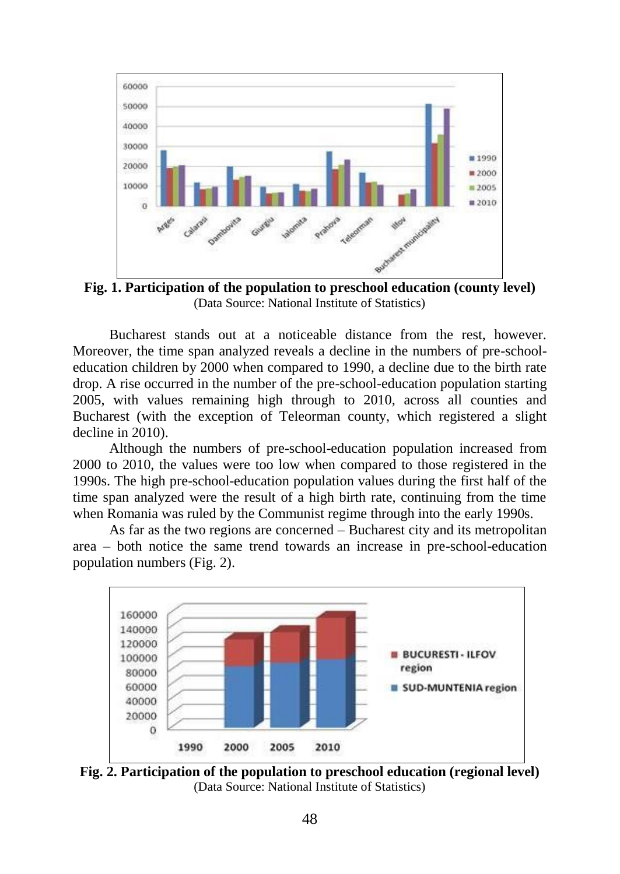

**Fig. 1. Participation of the population to preschool education (county level)** (Data Source: National Institute of Statistics)

Bucharest stands out at a noticeable distance from the rest, however. Moreover, the time span analyzed reveals a decline in the numbers of pre-schooleducation children by 2000 when compared to 1990, a decline due to the birth rate drop. A rise occurred in the number of the pre-school-education population starting 2005, with values remaining high through to 2010, across all counties and Bucharest (with the exception of Teleorman county, which registered a slight decline in 2010).

Although the numbers of pre-school-education population increased from 2000 to 2010, the values were too low when compared to those registered in the 1990s. The high pre-school-education population values during the first half of the time span analyzed were the result of a high birth rate, continuing from the time when Romania was ruled by the Communist regime through into the early 1990s.

As far as the two regions are concerned – Bucharest city and its metropolitan area – both notice the same trend towards an increase in pre-school-education population numbers (Fig. 2).



**Fig. 2. Participation of the population to preschool education (regional level)** (Data Source: National Institute of Statistics)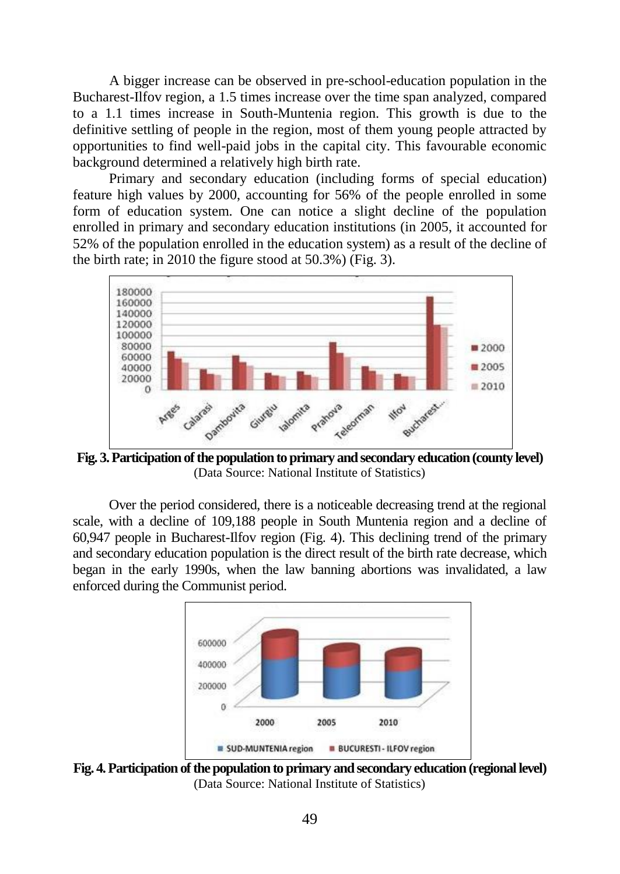A bigger increase can be observed in pre-school-education population in the Bucharest-Ilfov region, a 1.5 times increase over the time span analyzed, compared to a 1.1 times increase in South-Muntenia region. This growth is due to the definitive settling of people in the region, most of them young people attracted by opportunities to find well-paid jobs in the capital city. This favourable economic background determined a relatively high birth rate.

Primary and secondary education (including forms of special education) feature high values by 2000, accounting for 56% of the people enrolled in some form of education system. One can notice a slight decline of the population enrolled in primary and secondary education institutions (in 2005, it accounted for 52% of the population enrolled in the education system) as a result of the decline of the birth rate; in 2010 the figure stood at 50.3%) (Fig. 3).



**Fig. 3. Participation of the population to primary and secondary education (county level)** (Data Source: National Institute of Statistics)

Over the period considered, there is a noticeable decreasing trend at the regional scale, with a decline of 109,188 people in South Muntenia region and a decline of 60,947 people in Bucharest-Ilfov region (Fig. 4). This declining trend of the primary and secondary education population is the direct result of the birth rate decrease, which began in the early 1990s, when the law banning abortions was invalidated, a law enforced during the Communist period.



**Fig. 4. Participation of the population to primary and secondary education (regional level)** (Data Source: National Institute of Statistics)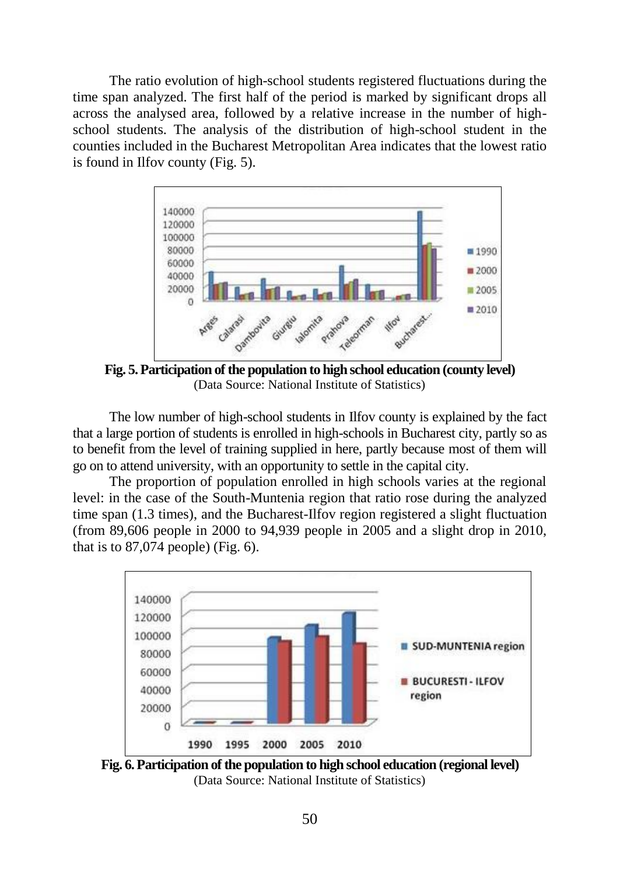The ratio evolution of high-school students registered fluctuations during the time span analyzed. The first half of the period is marked by significant drops all across the analysed area, followed by a relative increase in the number of highschool students. The analysis of the distribution of high-school student in the counties included in the Bucharest Metropolitan Area indicates that the lowest ratio is found in Ilfov county (Fig. 5).



**Fig. 5. Participation of the population to high school education (county level)** (Data Source: National Institute of Statistics)

The low number of high-school students in Ilfov county is explained by the fact that a large portion of students is enrolled in high-schools in Bucharest city, partly so as to benefit from the level of training supplied in here, partly because most of them will go on to attend university, with an opportunity to settle in the capital city.

The proportion of population enrolled in high schools varies at the regional level: in the case of the South-Muntenia region that ratio rose during the analyzed time span (1.3 times), and the Bucharest-Ilfov region registered a slight fluctuation (from 89,606 people in 2000 to 94,939 people in 2005 and a slight drop in 2010, that is to  $87,074$  people) (Fig. 6).



**Fig. 6. Participation of the population to high school education (regional level)** (Data Source: National Institute of Statistics)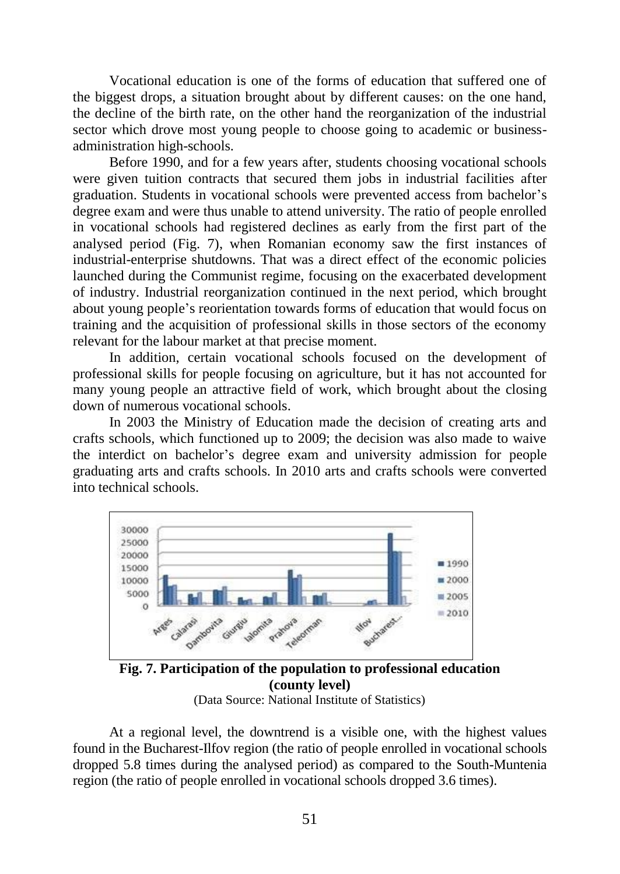Vocational education is one of the forms of education that suffered one of the biggest drops, a situation brought about by different causes: on the one hand, the decline of the birth rate, on the other hand the reorganization of the industrial sector which drove most young people to choose going to academic or businessadministration high-schools.

Before 1990, and for a few years after, students choosing vocational schools were given tuition contracts that secured them jobs in industrial facilities after graduation. Students in vocational schools were prevented access from bachelor's degree exam and were thus unable to attend university. The ratio of people enrolled in vocational schools had registered declines as early from the first part of the analysed period (Fig. 7), when Romanian economy saw the first instances of industrial-enterprise shutdowns. That was a direct effect of the economic policies launched during the Communist regime, focusing on the exacerbated development of industry. Industrial reorganization continued in the next period, which brought about young people's reorientation towards forms of education that would focus on training and the acquisition of professional skills in those sectors of the economy relevant for the labour market at that precise moment.

In addition, certain vocational schools focused on the development of professional skills for people focusing on agriculture, but it has not accounted for many young people an attractive field of work, which brought about the closing down of numerous vocational schools.

In 2003 the Ministry of Education made the decision of creating arts and crafts schools, which functioned up to 2009; the decision was also made to waive the interdict on bachelor's degree exam and university admission for people graduating arts and crafts schools. In 2010 arts and crafts schools were converted into technical schools.



**Fig. 7. Participation of the population to professional education (county level)** (Data Source: National Institute of Statistics)

At a regional level, the downtrend is a visible one, with the highest values found in the Bucharest-Ilfov region (the ratio of people enrolled in vocational schools dropped 5.8 times during the analysed period) as compared to the South-Muntenia region (the ratio of people enrolled in vocational schools dropped 3.6 times).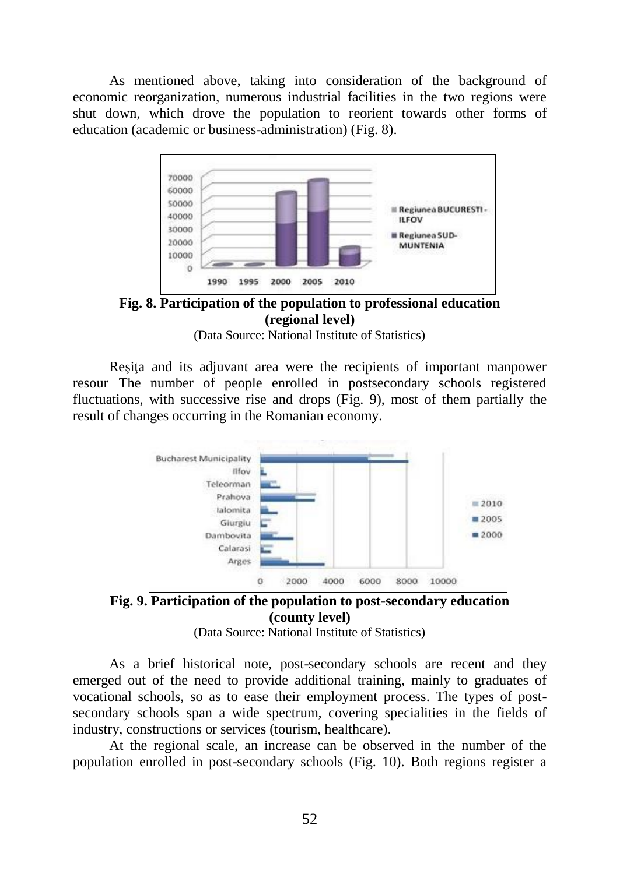As mentioned above, taking into consideration of the background of economic reorganization, numerous industrial facilities in the two regions were shut down, which drove the population to reorient towards other forms of education (academic or business-administration) (Fig. 8).



**Fig. 8. Participation of the population to professional education (regional level)**

(Data Source: National Institute of Statistics)

Reşiţa and its adjuvant area were the recipients of important manpower resour The number of people enrolled in postsecondary schools registered fluctuations, with successive rise and drops (Fig. 9), most of them partially the result of changes occurring in the Romanian economy.



**Fig. 9. Participation of the population to post-secondary education (county level)**

(Data Source: National Institute of Statistics)

As a brief historical note, post-secondary schools are recent and they emerged out of the need to provide additional training, mainly to graduates of vocational schools, so as to ease their employment process. The types of postsecondary schools span a wide spectrum, covering specialities in the fields of industry, constructions or services (tourism, healthcare).

At the regional scale, an increase can be observed in the number of the population enrolled in post-secondary schools (Fig. 10). Both regions register a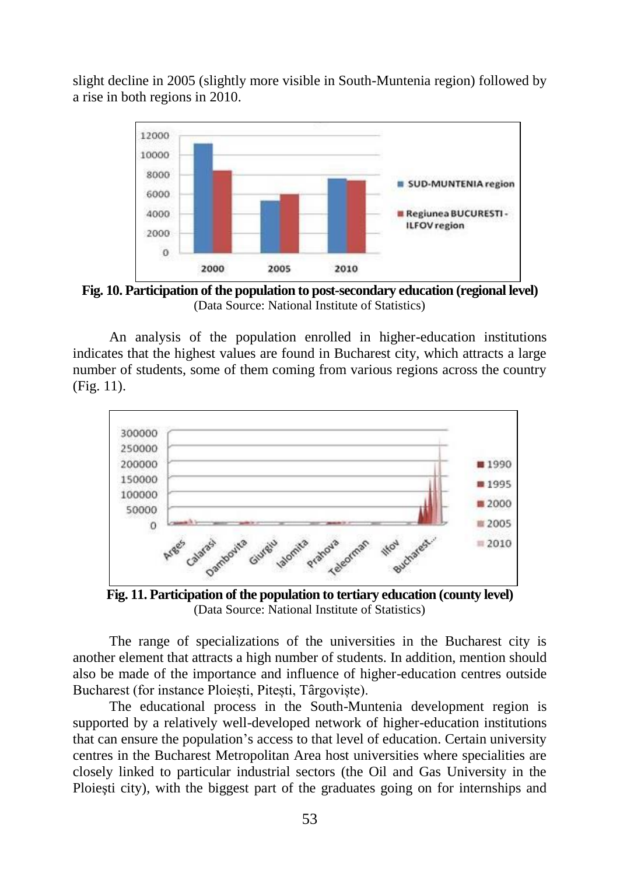slight decline in 2005 (slightly more visible in South-Muntenia region) followed by a rise in both regions in 2010.



**Fig. 10. Participation of the population to post-secondary education (regional level)** (Data Source: National Institute of Statistics)

An analysis of the population enrolled in higher-education institutions indicates that the highest values are found in Bucharest city, which attracts a large number of students, some of them coming from various regions across the country (Fig. 11).



**Fig. 11. Participation of the population to tertiary education (county level)** (Data Source: National Institute of Statistics)

The range of specializations of the universities in the Bucharest city is another element that attracts a high number of students. In addition, mention should also be made of the importance and influence of higher-education centres outside Bucharest (for instance Ploiești, Pitești, Târgoviște).

The educational process in the South-Muntenia development region is supported by a relatively well-developed network of higher-education institutions that can ensure the population's access to that level of education. Certain university centres in the Bucharest Metropolitan Area host universities where specialities are closely linked to particular industrial sectors (the Oil and Gas University in the Ploiesti city), with the biggest part of the graduates going on for internships and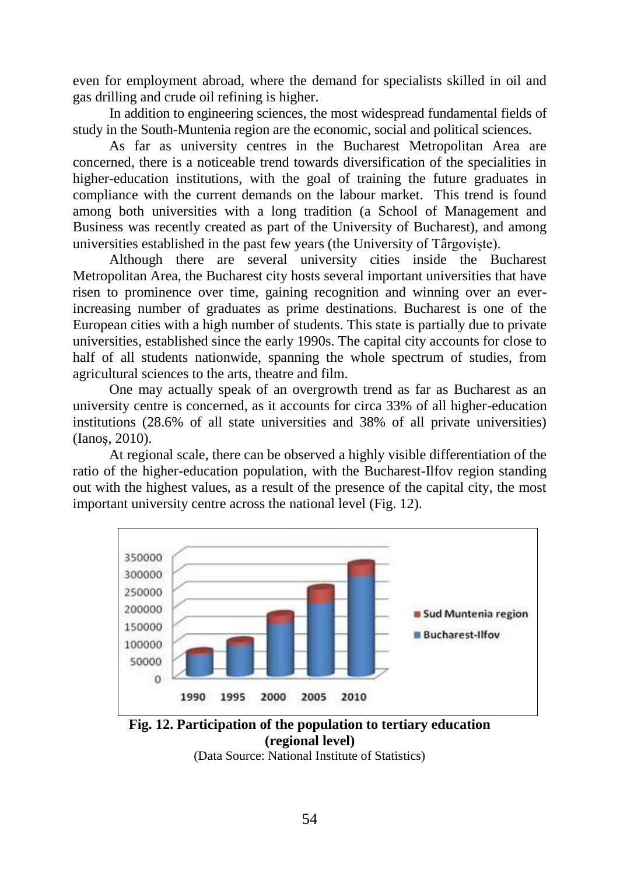even for employment abroad, where the demand for specialists skilled in oil and gas drilling and crude oil refining is higher.

In addition to engineering sciences, the most widespread fundamental fields of study in the South-Muntenia region are the economic, social and political sciences.

As far as university centres in the Bucharest Metropolitan Area are concerned, there is a noticeable trend towards diversification of the specialities in higher-education institutions, with the goal of training the future graduates in compliance with the current demands on the labour market. This trend is found among both universities with a long tradition (a School of Management and Business was recently created as part of the University of Bucharest), and among universities established in the past few years (the University of Târgoviște).

Although there are several university cities inside the Bucharest Metropolitan Area, the Bucharest city hosts several important universities that have risen to prominence over time, gaining recognition and winning over an everincreasing number of graduates as prime destinations. Bucharest is one of the European cities with a high number of students. This state is partially due to private universities, established since the early 1990s. The capital city accounts for close to half of all students nationwide, spanning the whole spectrum of studies, from agricultural sciences to the arts, theatre and film.

One may actually speak of an overgrowth trend as far as Bucharest as an university centre is concerned, as it accounts for circa 33% of all higher-education institutions (28.6% of all state universities and 38% of all private universities) (Ianoş, 2010).

At regional scale, there can be observed a highly visible differentiation of the ratio of the higher-education population, with the Bucharest-Ilfov region standing out with the highest values, as a result of the presence of the capital city, the most important university centre across the national level (Fig. 12).



**Fig. 12. Participation of the population to tertiary education (regional level)**

(Data Source: National Institute of Statistics)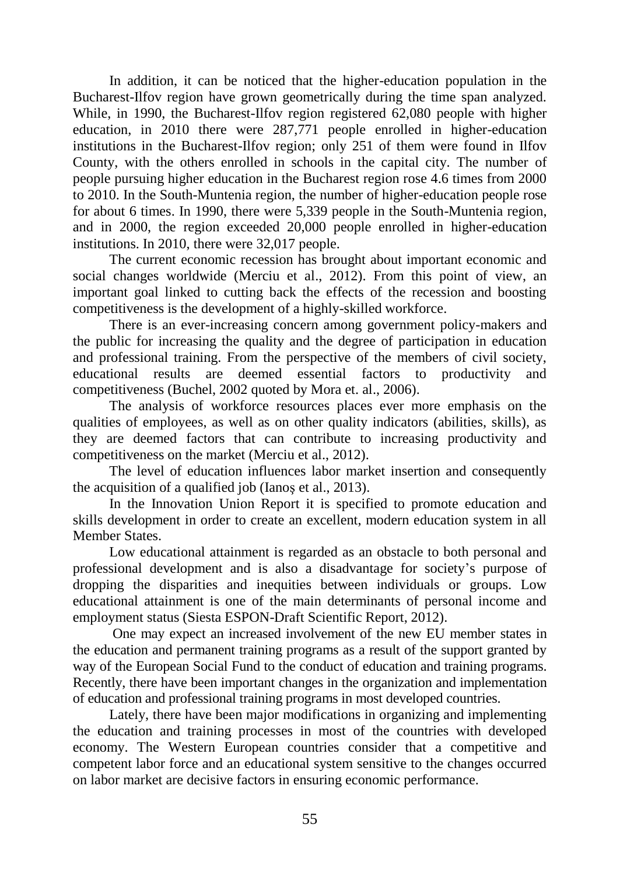In addition, it can be noticed that the higher-education population in the Bucharest-Ilfov region have grown geometrically during the time span analyzed. While, in 1990, the Bucharest-Ilfov region registered 62,080 people with higher education, in 2010 there were 287,771 people enrolled in higher-education institutions in the Bucharest-Ilfov region; only 251 of them were found in Ilfov County, with the others enrolled in schools in the capital city. The number of people pursuing higher education in the Bucharest region rose 4.6 times from 2000 to 2010. In the South-Muntenia region, the number of higher-education people rose for about 6 times. In 1990, there were 5,339 people in the South-Muntenia region, and in 2000, the region exceeded 20,000 people enrolled in higher-education institutions. In 2010, there were 32,017 people.

The current economic recession has brought about important economic and social changes worldwide (Merciu et al., 2012). From this point of view, an important goal linked to cutting back the effects of the recession and boosting competitiveness is the development of a highly-skilled workforce.

There is an ever-increasing concern among government policy-makers and the public for increasing the quality and the degree of participation in education and professional training. From the perspective of the members of civil society, educational results are deemed essential factors to productivity and competitiveness (Buchel, 2002 quoted by Mora et. al., 2006).

The analysis of workforce resources places ever more emphasis on the qualities of employees, as well as on other quality indicators (abilities, skills), as they are deemed factors that can contribute to increasing productivity and competitiveness on the market (Merciu et al., 2012).

The level of education influences labor market insertion and consequently the acquisition of a qualified job (Ianoş et al., 2013).

In the Innovation Union Report it is specified to promote education and skills development in order to create an excellent, modern education system in all Member States.

Low educational attainment is regarded as an obstacle to both personal and professional development and is also a disadvantage for society's purpose of dropping the disparities and inequities between individuals or groups. Low educational attainment is one of the main determinants of personal income and employment status (Siesta ESPON-Draft Scientific Report, 2012).

One may expect an increased involvement of the new EU member states in the education and permanent training programs as a result of the support granted by way of the European Social Fund to the conduct of education and training programs. Recently, there have been important changes in the organization and implementation of education and professional training programs in most developed countries.

Lately, there have been major modifications in organizing and implementing the education and training processes in most of the countries with developed economy. The Western European countries consider that a competitive and competent labor force and an educational system sensitive to the changes occurred on labor market are decisive factors in ensuring economic performance.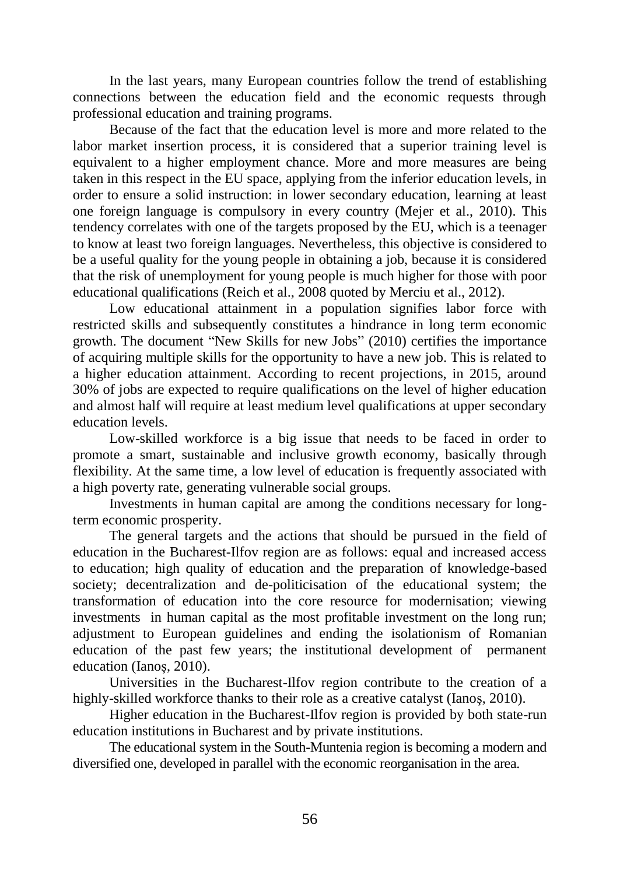In the last years, many European countries follow the trend of establishing connections between the education field and the economic requests through professional education and training programs.

Because of the fact that the education level is more and more related to the labor market insertion process, it is considered that a superior training level is equivalent to a higher employment chance. More and more measures are being taken in this respect in the EU space, applying from the inferior education levels, in order to ensure a solid instruction: in lower secondary education, learning at least one foreign language is compulsory in every country (Mejer et al., 2010). This tendency correlates with one of the targets proposed by the EU, which is a teenager to know at least two foreign languages. Nevertheless, this objective is considered to be a useful quality for the young people in obtaining a job, because it is considered that the risk of unemployment for young people is much higher for those with poor educational qualifications (Reich et al., 2008 quoted by Merciu et al., 2012).

Low educational attainment in a population signifies labor force with restricted skills and subsequently constitutes a hindrance in long term economic growth. The document "New Skills for new Jobs" (2010) certifies the importance of acquiring multiple skills for the opportunity to have a new job. This is related to a higher education attainment. According to recent projections, in 2015, around 30% of jobs are expected to require qualifications on the level of higher education and almost half will require at least medium level qualifications at upper secondary education levels.

Low-skilled workforce is a big issue that needs to be faced in order to promote a smart, sustainable and inclusive growth economy, basically through flexibility. At the same time, a low level of education is frequently associated with a high poverty rate, generating vulnerable social groups.

Investments in human capital are among the conditions necessary for longterm economic prosperity.

The general targets and the actions that should be pursued in the field of education in the Bucharest-Ilfov region are as follows: equal and increased access to education; high quality of education and the preparation of knowledge-based society; decentralization and de-politicisation of the educational system; the transformation of education into the core resource for modernisation; viewing investments in human capital as the most profitable investment on the long run; adjustment to European guidelines and ending the isolationism of Romanian education of the past few years; the institutional development of permanent education (Ianoş, 2010).

Universities in the Bucharest-Ilfov region contribute to the creation of a highly-skilled workforce thanks to their role as a creative catalyst (Ianos, 2010).

Higher education in the Bucharest-Ilfov region is provided by both state-run education institutions in Bucharest and by private institutions.

The educational system in the South-Muntenia region is becoming a modern and diversified one, developed in parallel with the economic reorganisation in the area.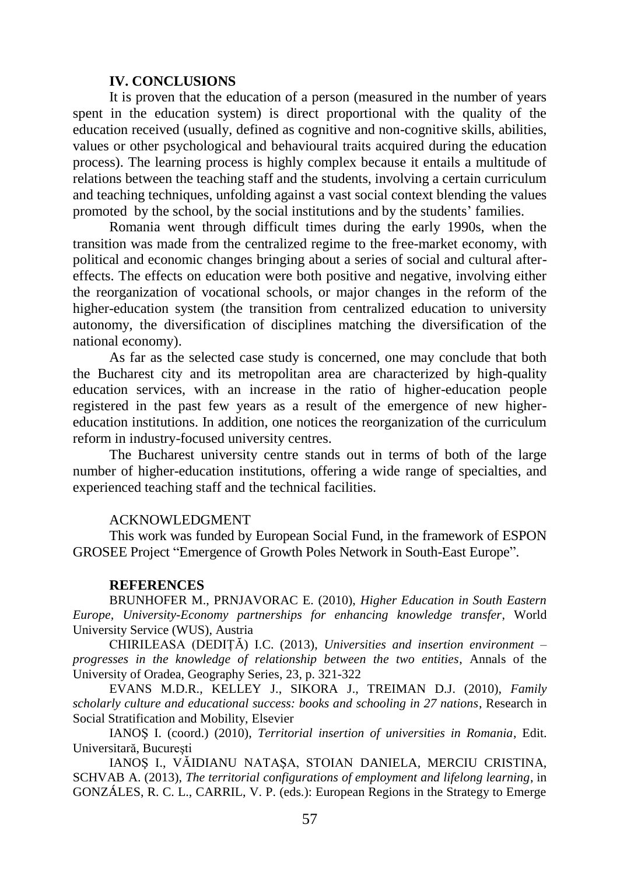#### **IV. CONCLUSIONS**

It is proven that the education of a person (measured in the number of years spent in the education system) is direct proportional with the quality of the education received (usually, defined as cognitive and non-cognitive skills, abilities, values or other psychological and behavioural traits acquired during the education process). The learning process is highly complex because it entails a multitude of relations between the teaching staff and the students, involving a certain curriculum and teaching techniques, unfolding against a vast social context blending the values promoted by the school, by the social institutions and by the students' families.

Romania went through difficult times during the early 1990s, when the transition was made from the centralized regime to the free-market economy, with political and economic changes bringing about a series of social and cultural aftereffects. The effects on education were both positive and negative, involving either the reorganization of vocational schools, or major changes in the reform of the higher-education system (the transition from centralized education to university autonomy, the diversification of disciplines matching the diversification of the national economy).

As far as the selected case study is concerned, one may conclude that both the Bucharest city and its metropolitan area are characterized by high-quality education services, with an increase in the ratio of higher-education people registered in the past few years as a result of the emergence of new highereducation institutions. In addition, one notices the reorganization of the curriculum reform in industry-focused university centres.

The Bucharest university centre stands out in terms of both of the large number of higher-education institutions, offering a wide range of specialties, and experienced teaching staff and the technical facilities.

#### ACKNOWLEDGMENT

This work was funded by European Social Fund, in the framework of ESPON GROSEE Project "Emergence of Growth Poles Network in South-East Europe".

#### **REFERENCES**

BRUNHOFER M., PRNJAVORAC E. (2010), *Higher Education in South Eastern Europe, University-Economy partnerships for enhancing knowledge transfer*, World University Service (WUS), Austria

CHIRILEASA (DEDIȚĂ) I.C. (2013), *Universities and insertion environment – progresses in the knowledge of relationship between the two entities*, Annals of the University of Oradea, Geography Series, 23, p. 321-322

EVANS M.D.R., KELLEY J., SIKORA J., TREIMAN D.J. (2010), *Family scholarly culture and educational success: books and schooling in 27 nations*, Research in Social Stratification and Mobility, Elsevier

IANOŞ I. (coord.) (2010), *Territorial insertion of universities in Romania*, Edit. Universitară, Bucureşti

IANOŞ I., VĂIDIANU NATAŞA, STOIAN DANIELA, MERCIU CRISTINA, SCHVAB A. (2013), *The territorial configurations of employment and lifelong learning*, in GONZÁLES, R. C. L., CARRIL, V. P. (eds.): European Regions in the Strategy to Emerge